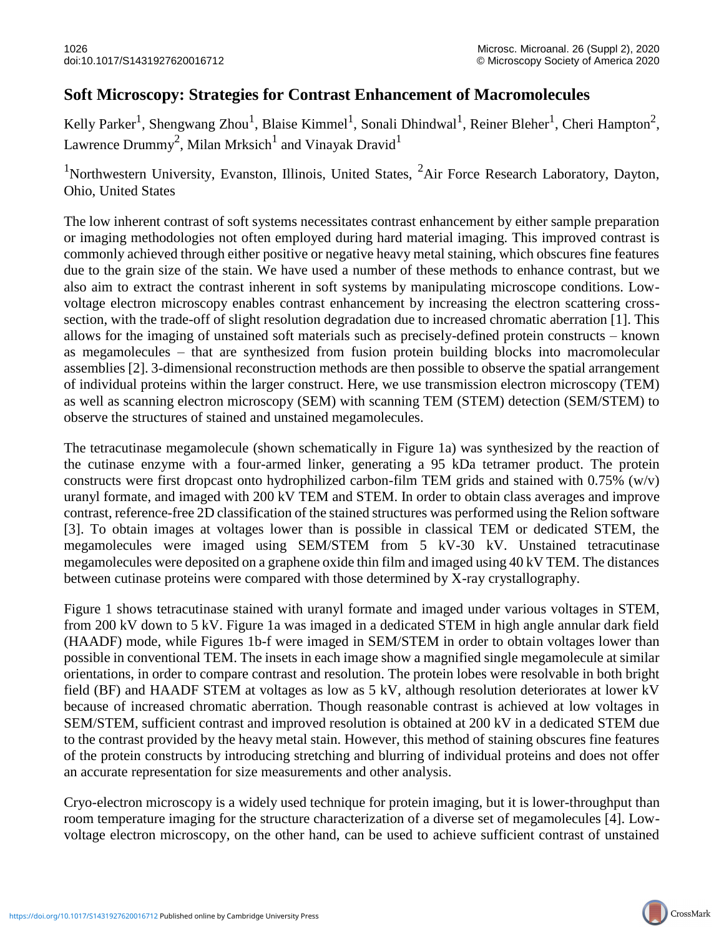## **Soft Microscopy: Strategies for Contrast Enhancement of Macromolecules**

Kelly Parker<sup>1</sup>, Shengwang Zhou<sup>1</sup>, Blaise Kimmel<sup>1</sup>, Sonali Dhindwal<sup>1</sup>, Reiner Bleher<sup>1</sup>, Cheri Hampton<sup>2</sup>, Lawrence Drummy<sup>2</sup>, Milan Mrksich<sup>1</sup> and Vinayak Dravid<sup>1</sup>

<sup>1</sup>Northwestern University, Evanston, Illinois, United States,  ${}^{2}$ Air Force Research Laboratory, Dayton, Ohio, United States

The low inherent contrast of soft systems necessitates contrast enhancement by either sample preparation or imaging methodologies not often employed during hard material imaging. This improved contrast is commonly achieved through either positive or negative heavy metal staining, which obscures fine features due to the grain size of the stain. We have used a number of these methods to enhance contrast, but we also aim to extract the contrast inherent in soft systems by manipulating microscope conditions. Lowvoltage electron microscopy enables contrast enhancement by increasing the electron scattering crosssection, with the trade-off of slight resolution degradation due to increased chromatic aberration [1]. This allows for the imaging of unstained soft materials such as precisely-defined protein constructs – known as megamolecules – that are synthesized from fusion protein building blocks into macromolecular assemblies [2]. 3-dimensional reconstruction methods are then possible to observe the spatial arrangement of individual proteins within the larger construct. Here, we use transmission electron microscopy (TEM) as well as scanning electron microscopy (SEM) with scanning TEM (STEM) detection (SEM/STEM) to observe the structures of stained and unstained megamolecules.

The tetracutinase megamolecule (shown schematically in Figure 1a) was synthesized by the reaction of the cutinase enzyme with a four-armed linker, generating a 95 kDa tetramer product. The protein constructs were first dropcast onto hydrophilized carbon-film TEM grids and stained with 0.75% (w/v) uranyl formate, and imaged with 200 kV TEM and STEM. In order to obtain class averages and improve contrast, reference-free 2D classification of the stained structures was performed using the Relion software [3]. To obtain images at voltages lower than is possible in classical TEM or dedicated STEM, the megamolecules were imaged using SEM/STEM from 5 kV-30 kV. Unstained tetracutinase megamolecules were deposited on a graphene oxide thin film and imaged using 40 kV TEM. The distances between cutinase proteins were compared with those determined by X-ray crystallography.

Figure 1 shows tetracutinase stained with uranyl formate and imaged under various voltages in STEM, from 200 kV down to 5 kV. Figure 1a was imaged in a dedicated STEM in high angle annular dark field (HAADF) mode, while Figures 1b-f were imaged in SEM/STEM in order to obtain voltages lower than possible in conventional TEM. The insets in each image show a magnified single megamolecule at similar orientations, in order to compare contrast and resolution. The protein lobes were resolvable in both bright field (BF) and HAADF STEM at voltages as low as 5 kV, although resolution deteriorates at lower kV because of increased chromatic aberration. Though reasonable contrast is achieved at low voltages in SEM/STEM, sufficient contrast and improved resolution is obtained at 200 kV in a dedicated STEM due to the contrast provided by the heavy metal stain. However, this method of staining obscures fine features of the protein constructs by introducing stretching and blurring of individual proteins and does not offer an accurate representation for size measurements and other analysis.

Cryo-electron microscopy is a widely used technique for protein imaging, but it is lower-throughput than room temperature imaging for the structure characterization of a diverse set of megamolecules [4]. Lowvoltage electron microscopy, on the other hand, can be used to achieve sufficient contrast of unstained

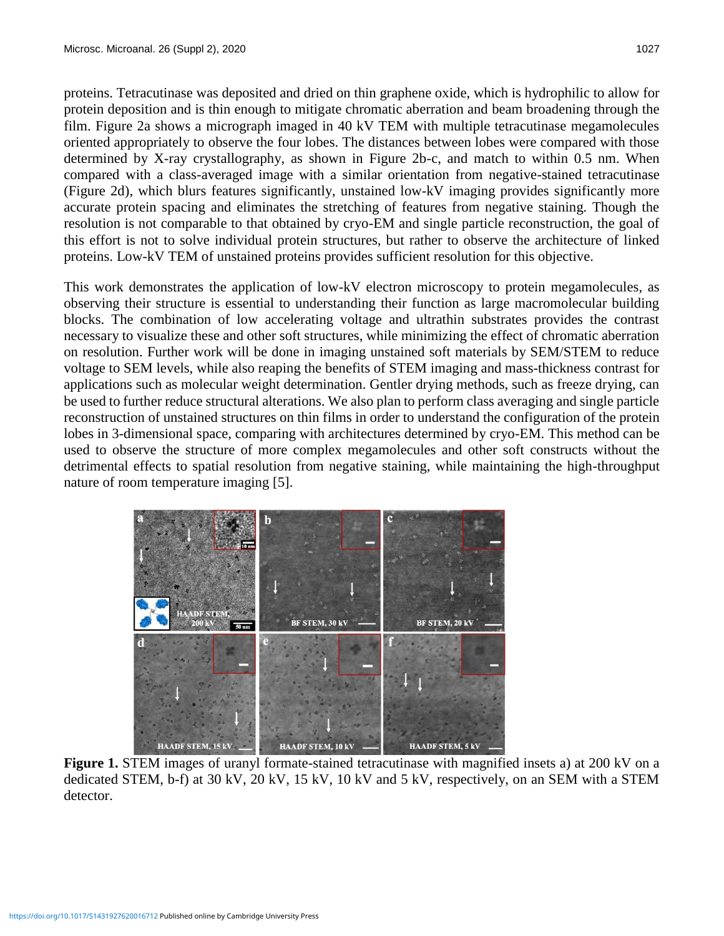proteins. Tetracutinase was deposited and dried on thin graphene oxide, which is hydrophilic to allow for protein deposition and is thin enough to mitigate chromatic aberration and beam broadening through the film. Figure 2a shows a micrograph imaged in 40 kV TEM with multiple tetracutinase megamolecules oriented appropriately to observe the four lobes. The distances between lobes were compared with those determined by X-ray crystallography, as shown in Figure 2b-c, and match to within 0.5 nm. When compared with a class-averaged image with a similar orientation from negative-stained tetracutinase (Figure 2d), which blurs features significantly, unstained low-kV imaging provides significantly more accurate protein spacing and eliminates the stretching of features from negative staining. Though the resolution is not comparable to that obtained by cryo-EM and single particle reconstruction, the goal of this effort is not to solve individual protein structures, but rather to observe the architecture of linked proteins. Low-kV TEM of unstained proteins provides sufficient resolution for this objective.

This work demonstrates the application of low-kV electron microscopy to protein megamolecules, as observing their structure is essential to understanding their function as large macromolecular building blocks. The combination of low accelerating voltage and ultrathin substrates provides the contrast necessary to visualize these and other soft structures, while minimizing the effect of chromatic aberration on resolution. Further work will be done in imaging unstained soft materials by SEM/STEM to reduce voltage to SEM levels, while also reaping the benefits of STEM imaging and mass-thickness contrast for applications such as molecular weight determination. Gentler drying methods, such as freeze drying, can be used to further reduce structural alterations. We also plan to perform class averaging and single particle reconstruction of unstained structures on thin films in order to understand the configuration of the protein lobes in 3-dimensional space, comparing with architectures determined by cryo-EM. This method can be used to observe the structure of more complex megamolecules and other soft constructs without the detrimental effects to spatial resolution from negative staining, while maintaining the high-throughput nature of room temperature imaging [5].



**Figure 1.** STEM images of uranyl formate-stained tetracutinase with magnified insets a) at 200 kV on a dedicated STEM, b-f) at 30 kV, 20 kV, 15 kV, 10 kV and 5 kV, respectively, on an SEM with a STEM detector.